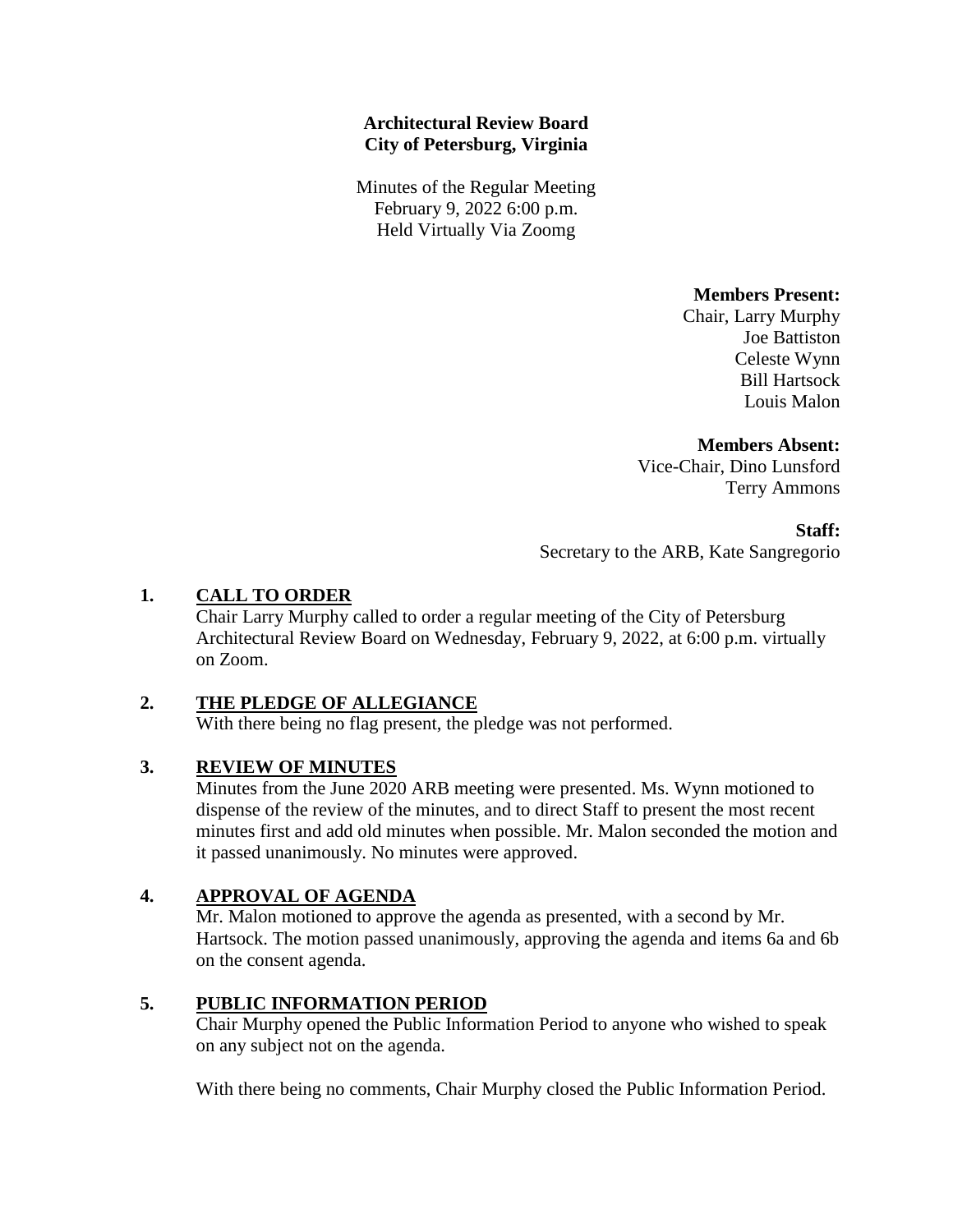### **Architectural Review Board City of Petersburg, Virginia**

Minutes of the Regular Meeting February 9, 2022 6:00 p.m. Held Virtually Via Zoomg

**Members Present:** 

Chair, Larry Murphy Joe Battiston Celeste Wynn Bill Hartsock Louis Malon

#### **Members Absent:**

Vice-Chair, Dino Lunsford Terry Ammons

**Staff:**

Secretary to the ARB, Kate Sangregorio

## **1. CALL TO ORDER**

Chair Larry Murphy called to order a regular meeting of the City of Petersburg Architectural Review Board on Wednesday, February 9, 2022, at 6:00 p.m. virtually on Zoom.

## **2. THE PLEDGE OF ALLEGIANCE**

With there being no flag present, the pledge was not performed.

## **3. REVIEW OF MINUTES**

Minutes from the June 2020 ARB meeting were presented. Ms. Wynn motioned to dispense of the review of the minutes, and to direct Staff to present the most recent minutes first and add old minutes when possible. Mr. Malon seconded the motion and it passed unanimously. No minutes were approved.

## **4. APPROVAL OF AGENDA**

Mr. Malon motioned to approve the agenda as presented, with a second by Mr. Hartsock. The motion passed unanimously, approving the agenda and items 6a and 6b on the consent agenda.

## **5. PUBLIC INFORMATION PERIOD**

Chair Murphy opened the Public Information Period to anyone who wished to speak on any subject not on the agenda.

With there being no comments, Chair Murphy closed the Public Information Period.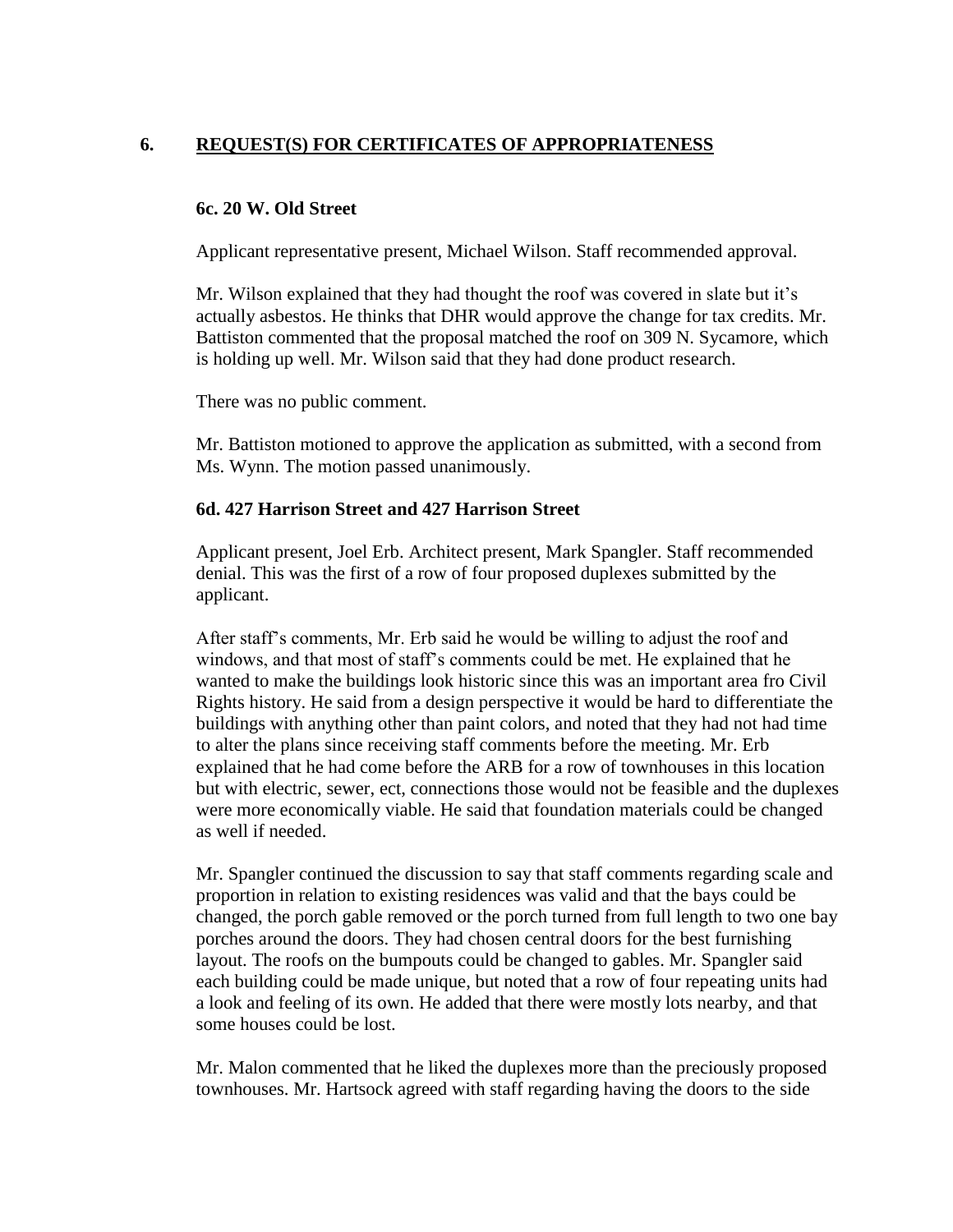# **6. REQUEST(S) FOR CERTIFICATES OF APPROPRIATENESS**

#### **6c. 20 W. Old Street**

Applicant representative present, Michael Wilson. Staff recommended approval.

Mr. Wilson explained that they had thought the roof was covered in slate but it's actually asbestos. He thinks that DHR would approve the change for tax credits. Mr. Battiston commented that the proposal matched the roof on 309 N. Sycamore, which is holding up well. Mr. Wilson said that they had done product research.

There was no public comment.

Mr. Battiston motioned to approve the application as submitted, with a second from Ms. Wynn. The motion passed unanimously.

#### **6d. 427 Harrison Street and 427 Harrison Street**

Applicant present, Joel Erb. Architect present, Mark Spangler. Staff recommended denial. This was the first of a row of four proposed duplexes submitted by the applicant.

After staff's comments, Mr. Erb said he would be willing to adjust the roof and windows, and that most of staff's comments could be met. He explained that he wanted to make the buildings look historic since this was an important area fro Civil Rights history. He said from a design perspective it would be hard to differentiate the buildings with anything other than paint colors, and noted that they had not had time to alter the plans since receiving staff comments before the meeting. Mr. Erb explained that he had come before the ARB for a row of townhouses in this location but with electric, sewer, ect, connections those would not be feasible and the duplexes were more economically viable. He said that foundation materials could be changed as well if needed.

Mr. Spangler continued the discussion to say that staff comments regarding scale and proportion in relation to existing residences was valid and that the bays could be changed, the porch gable removed or the porch turned from full length to two one bay porches around the doors. They had chosen central doors for the best furnishing layout. The roofs on the bumpouts could be changed to gables. Mr. Spangler said each building could be made unique, but noted that a row of four repeating units had a look and feeling of its own. He added that there were mostly lots nearby, and that some houses could be lost.

Mr. Malon commented that he liked the duplexes more than the preciously proposed townhouses. Mr. Hartsock agreed with staff regarding having the doors to the side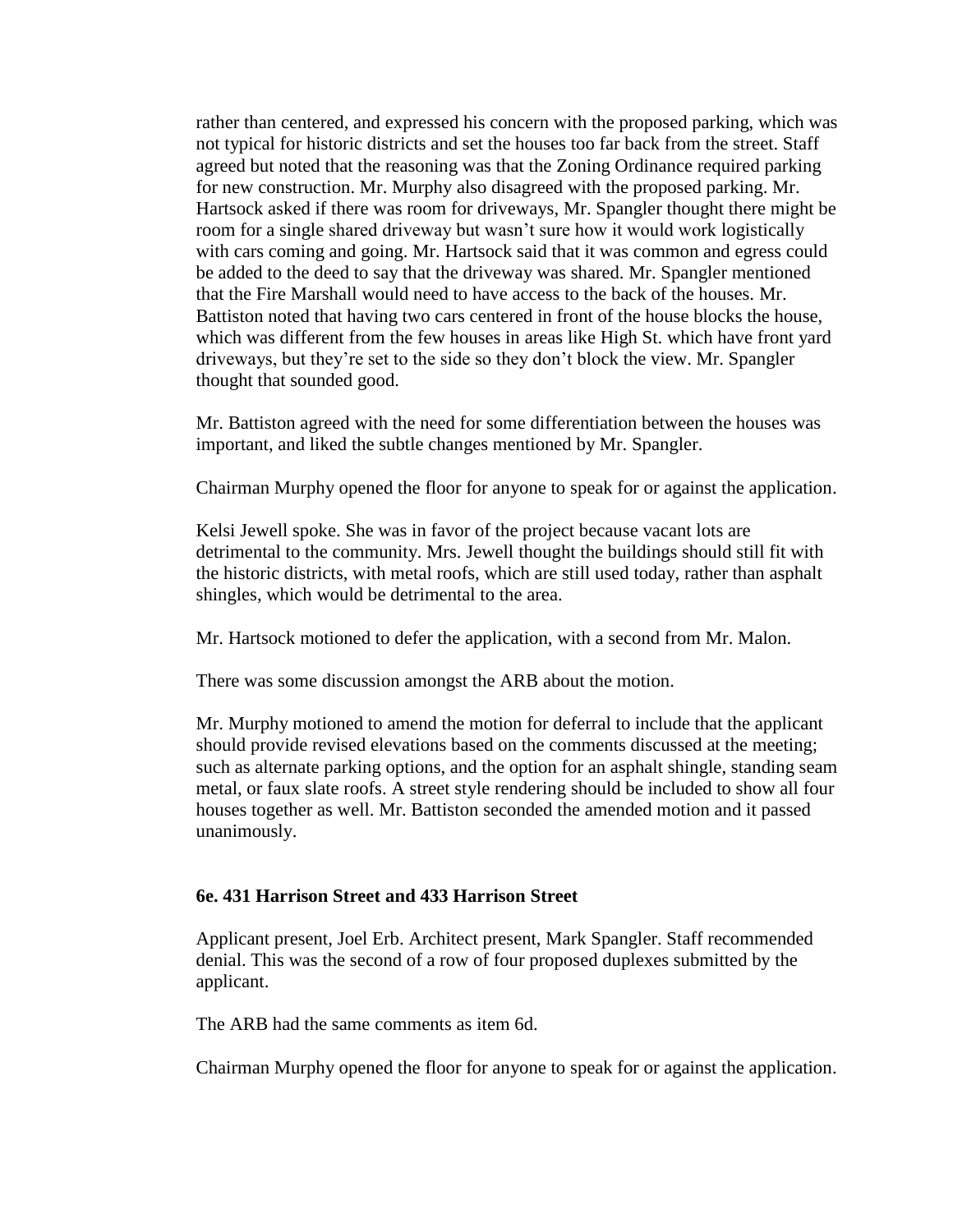rather than centered, and expressed his concern with the proposed parking, which was not typical for historic districts and set the houses too far back from the street. Staff agreed but noted that the reasoning was that the Zoning Ordinance required parking for new construction. Mr. Murphy also disagreed with the proposed parking. Mr. Hartsock asked if there was room for driveways, Mr. Spangler thought there might be room for a single shared driveway but wasn't sure how it would work logistically with cars coming and going. Mr. Hartsock said that it was common and egress could be added to the deed to say that the driveway was shared. Mr. Spangler mentioned that the Fire Marshall would need to have access to the back of the houses. Mr. Battiston noted that having two cars centered in front of the house blocks the house, which was different from the few houses in areas like High St. which have front yard driveways, but they're set to the side so they don't block the view. Mr. Spangler thought that sounded good.

Mr. Battiston agreed with the need for some differentiation between the houses was important, and liked the subtle changes mentioned by Mr. Spangler.

Chairman Murphy opened the floor for anyone to speak for or against the application.

Kelsi Jewell spoke. She was in favor of the project because vacant lots are detrimental to the community. Mrs. Jewell thought the buildings should still fit with the historic districts, with metal roofs, which are still used today, rather than asphalt shingles, which would be detrimental to the area.

Mr. Hartsock motioned to defer the application, with a second from Mr. Malon.

There was some discussion amongst the ARB about the motion.

Mr. Murphy motioned to amend the motion for deferral to include that the applicant should provide revised elevations based on the comments discussed at the meeting; such as alternate parking options, and the option for an asphalt shingle, standing seam metal, or faux slate roofs. A street style rendering should be included to show all four houses together as well. Mr. Battiston seconded the amended motion and it passed unanimously.

#### **6e. 431 Harrison Street and 433 Harrison Street**

Applicant present, Joel Erb. Architect present, Mark Spangler. Staff recommended denial. This was the second of a row of four proposed duplexes submitted by the applicant.

The ARB had the same comments as item 6d.

Chairman Murphy opened the floor for anyone to speak for or against the application.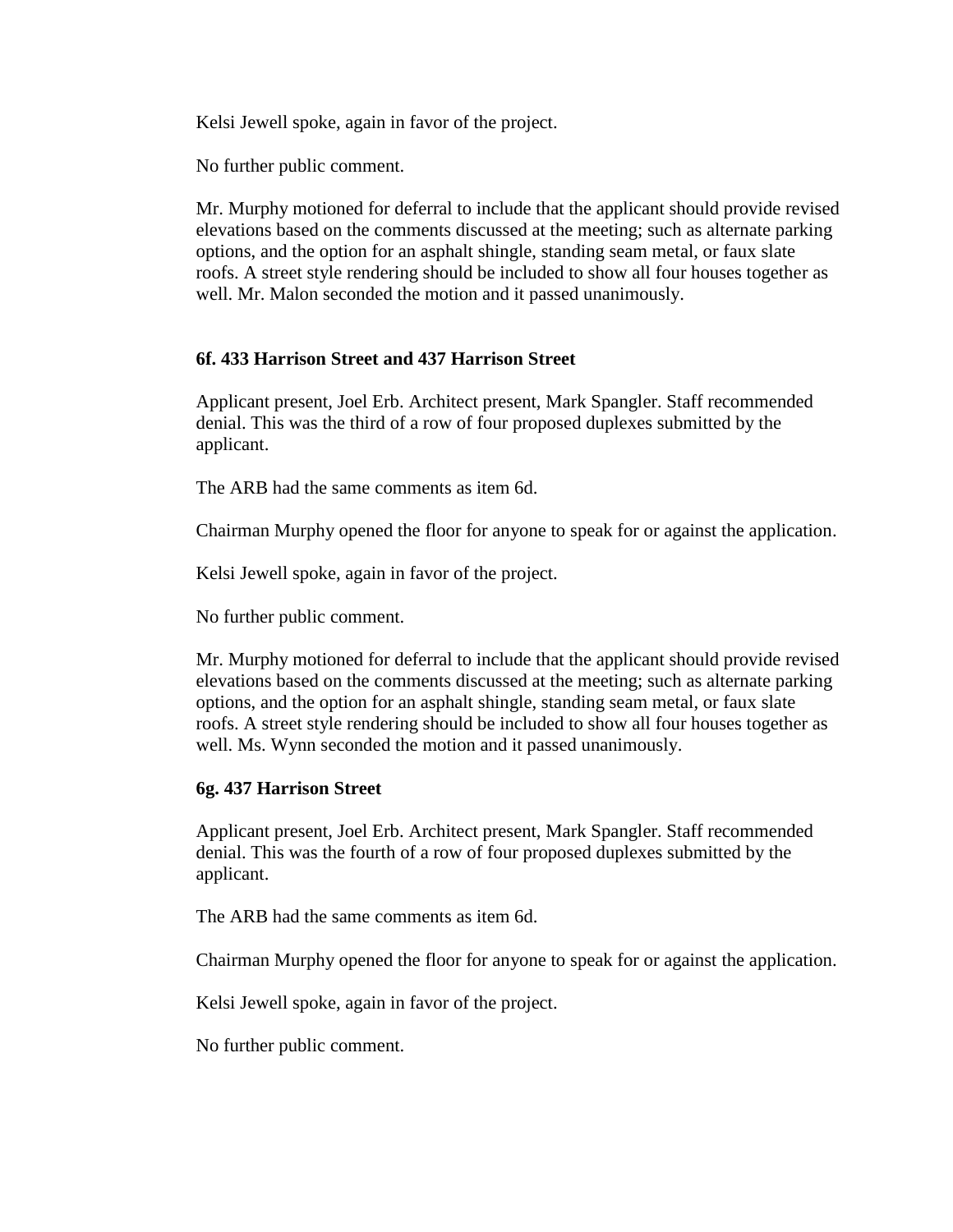Kelsi Jewell spoke, again in favor of the project.

No further public comment.

Mr. Murphy motioned for deferral to include that the applicant should provide revised elevations based on the comments discussed at the meeting; such as alternate parking options, and the option for an asphalt shingle, standing seam metal, or faux slate roofs. A street style rendering should be included to show all four houses together as well. Mr. Malon seconded the motion and it passed unanimously.

#### **6f. 433 Harrison Street and 437 Harrison Street**

Applicant present, Joel Erb. Architect present, Mark Spangler. Staff recommended denial. This was the third of a row of four proposed duplexes submitted by the applicant.

The ARB had the same comments as item 6d.

Chairman Murphy opened the floor for anyone to speak for or against the application.

Kelsi Jewell spoke, again in favor of the project.

No further public comment.

Mr. Murphy motioned for deferral to include that the applicant should provide revised elevations based on the comments discussed at the meeting; such as alternate parking options, and the option for an asphalt shingle, standing seam metal, or faux slate roofs. A street style rendering should be included to show all four houses together as well. Ms. Wynn seconded the motion and it passed unanimously.

#### **6g. 437 Harrison Street**

Applicant present, Joel Erb. Architect present, Mark Spangler. Staff recommended denial. This was the fourth of a row of four proposed duplexes submitted by the applicant.

The ARB had the same comments as item 6d.

Chairman Murphy opened the floor for anyone to speak for or against the application.

Kelsi Jewell spoke, again in favor of the project.

No further public comment.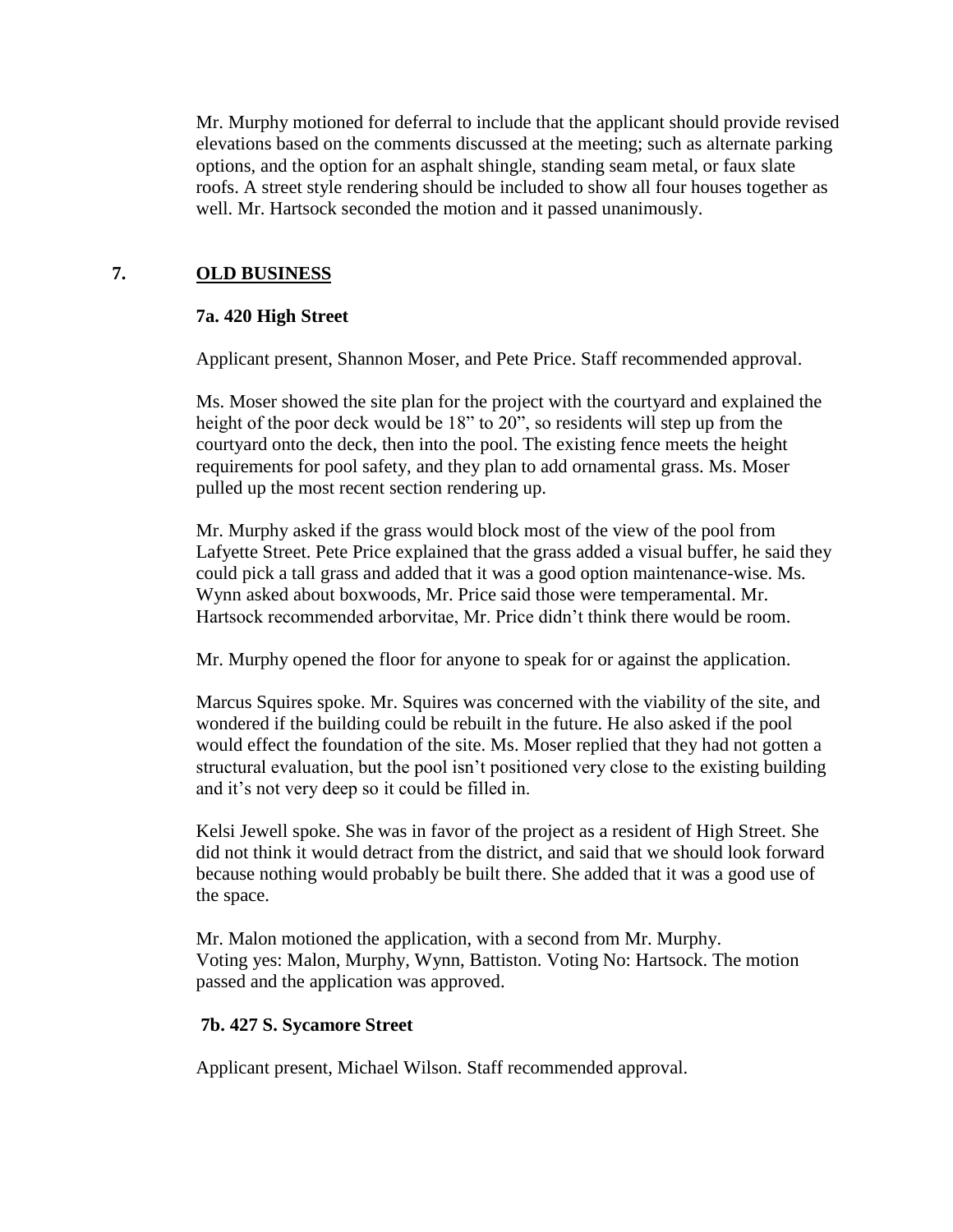Mr. Murphy motioned for deferral to include that the applicant should provide revised elevations based on the comments discussed at the meeting; such as alternate parking options, and the option for an asphalt shingle, standing seam metal, or faux slate roofs. A street style rendering should be included to show all four houses together as well. Mr. Hartsock seconded the motion and it passed unanimously.

# **7. OLD BUSINESS**

## **7a. 420 High Street**

Applicant present, Shannon Moser, and Pete Price. Staff recommended approval.

Ms. Moser showed the site plan for the project with the courtyard and explained the height of the poor deck would be 18" to 20", so residents will step up from the courtyard onto the deck, then into the pool. The existing fence meets the height requirements for pool safety, and they plan to add ornamental grass. Ms. Moser pulled up the most recent section rendering up.

Mr. Murphy asked if the grass would block most of the view of the pool from Lafyette Street. Pete Price explained that the grass added a visual buffer, he said they could pick a tall grass and added that it was a good option maintenance-wise. Ms. Wynn asked about boxwoods, Mr. Price said those were temperamental. Mr. Hartsock recommended arborvitae, Mr. Price didn't think there would be room.

Mr. Murphy opened the floor for anyone to speak for or against the application.

Marcus Squires spoke. Mr. Squires was concerned with the viability of the site, and wondered if the building could be rebuilt in the future. He also asked if the pool would effect the foundation of the site. Ms. Moser replied that they had not gotten a structural evaluation, but the pool isn't positioned very close to the existing building and it's not very deep so it could be filled in.

Kelsi Jewell spoke. She was in favor of the project as a resident of High Street. She did not think it would detract from the district, and said that we should look forward because nothing would probably be built there. She added that it was a good use of the space.

Mr. Malon motioned the application, with a second from Mr. Murphy. Voting yes: Malon, Murphy, Wynn, Battiston. Voting No: Hartsock. The motion passed and the application was approved.

## **7b. 427 S. Sycamore Street**

Applicant present, Michael Wilson. Staff recommended approval.